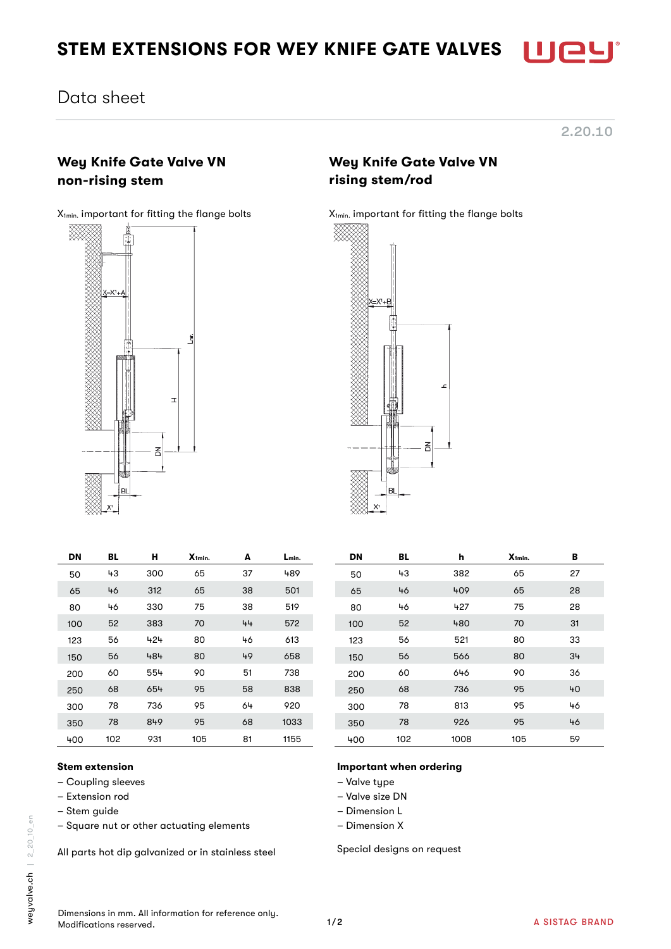# STEM EXTENSIONS FOR WEY KNIFE GATE VALVES

## Data sheet

## Wey Knife Gate Valve VN non-rising stem



| Í |  |  |
|---|--|--|
| I |  |  |
|   |  |  |
|   |  |  |

Wey Knife Gate Valve VN rising stem/rod

#### X<sub>1min.</sub> important for fitting the flange bolts X<sub>1min</sub>. important for fitting the flange bolts



| DN   | BL  | н   | X <sub>1min.</sub> | A          | Lmin. | DN   | BL  | h    | X <sub>1min.</sub> | В  |
|------|-----|-----|--------------------|------------|-------|------|-----|------|--------------------|----|
| 50   | 43  | 300 | 65                 | 37         | 489   | 50   | 43  | 382  | 65                 | 27 |
| 65   | 46  | 312 | 65                 | 38         | 501   | 65   | 46  | 409  | 65                 | 28 |
| 80   | 46  | 330 | 75                 | 38         | 519   | 80   | 46  | 427  | 75                 | 28 |
| 100  | 52  | 383 | 70                 | 44         | 572   | 100  | 52  | 480  | 70                 | 31 |
| 123  | 56  | 424 | 80                 | 46         | 613   | 123  | 56  | 521  | 80                 | 33 |
| 150  | 56  | 484 | 80                 | 49         | 658   | 150  | 56  | 566  | 80                 | 34 |
| 200  | 60  | 554 | 90                 | 51         | 738   | 200  | 60  | 646  | 90                 | 36 |
| 250  | 68  | 654 | 95                 | 58         | 838   | 250  | 68  | 736  | 95                 | 4C |
| 300  | 78  | 736 | 95                 | 64         | 920   | 300  | 78  | 813  | 95                 | 46 |
| 350  | 78  | 849 | 95                 | 68         | 1033  | 350  | 78  | 926  | 95                 | 46 |
| 1.00 | 102 | 021 | 10F                | $\Omega$ 1 | 1155  | 1.00 | 102 | 1008 | 10F                | БO |

## 100 52 383 70 44 572 100 52 480 70 31 123 56 424 80 46 613 123 56 521 80 33 150 56 484 80 49 658 150 56 566 80 34 200 60 554 90 51 738 200 60 646 90 36 250 68 654 95 58 838 250 68 736 95 40 300 78 736 95 64 920 300 78 813 95 46 350 78 849 95 68 1033 350 78 926 95 46 400 102 931 105 81 1155 400 102 1008 105 59

#### Stem extension

- Coupling sleeves
- Extension rod
- Stem guide
- Square nut or other actuating elements

All parts hot dip galvanized or in stainless steel

- Important when ordering
- Valve type
- Valve size DN
- Dimension L
- Dimension X

Special designs on request

Dimensions in mm. All information for reference only. Modifications reserved.

2.20.10